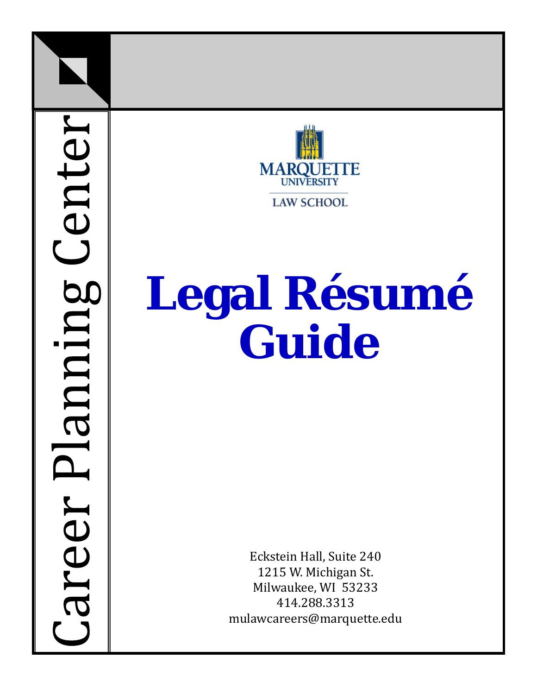Center areer Planing



# **Legal Résumé Guide**

Eckstein Hall, Suite 240 1215 W. Michigan St. Milwaukee, WI 53233 414.288.3313 mulawcareers@marquette.edu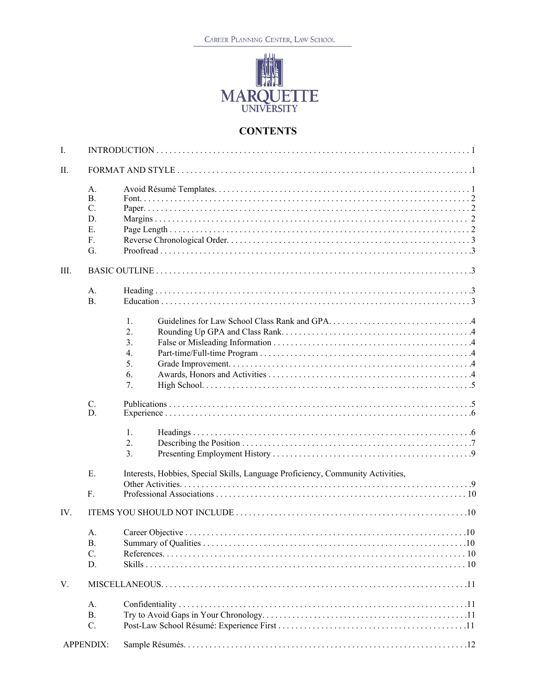CAREER PLANNING CENTER, LAW SCHOOL



## **CONTENTS**

| I.   |                 |                                                                                 |
|------|-----------------|---------------------------------------------------------------------------------|
| П.   |                 |                                                                                 |
|      | A.<br><b>B.</b> |                                                                                 |
|      |                 |                                                                                 |
|      | C.              |                                                                                 |
|      | D.              |                                                                                 |
|      | E.              |                                                                                 |
|      | F.              |                                                                                 |
|      | G.              |                                                                                 |
| III. |                 |                                                                                 |
|      | A.              |                                                                                 |
|      | <b>B.</b>       |                                                                                 |
|      |                 | 1.                                                                              |
|      |                 | 2.                                                                              |
|      |                 | 3.                                                                              |
|      |                 | 4.                                                                              |
|      |                 | 5.                                                                              |
|      |                 | 6.                                                                              |
|      |                 | 7.                                                                              |
|      |                 |                                                                                 |
|      | C.<br>D.        |                                                                                 |
|      |                 | 1.                                                                              |
|      |                 | 2.                                                                              |
|      |                 | 3.                                                                              |
|      | Ε.              | Interests, Hobbies, Special Skills, Language Proficiency, Community Activities, |
|      |                 |                                                                                 |
|      | F.              |                                                                                 |
| IV.  |                 |                                                                                 |
|      | А.              |                                                                                 |
|      | В.              |                                                                                 |
|      | C.              |                                                                                 |
|      | D.              |                                                                                 |
|      |                 |                                                                                 |
| V.   |                 |                                                                                 |
|      | A.              |                                                                                 |
|      | <b>B.</b>       |                                                                                 |
|      | C.              |                                                                                 |
|      | APPENDIX:       |                                                                                 |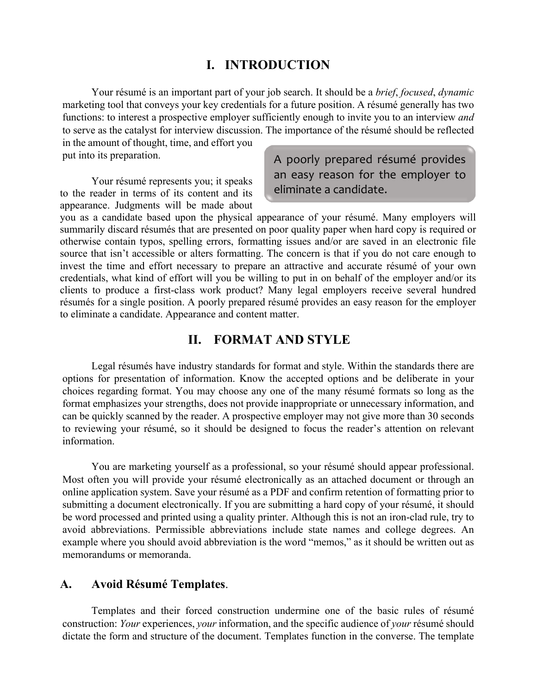## **I. INTRODUCTION**

Your résumé is an important part of your job search. It should be a *brief*, *focused*, *dynamic* marketing tool that conveys your key credentials for a future position. A résumé generally has two functions: to interest a prospective employer sufficiently enough to invite you to an interview *and* to serve as the catalyst for interview discussion. The importance of the résumé should be reflected in the amount of thought, time, and effort you

put into its preparation.

Your résumé represents you; it speaks to the reader in terms of its content and its appearance. Judgments will be made about A poorly prepared résumé provides an easy reason for the employer to eliminate a candidate.

you as a candidate based upon the physical appearance of your résumé. Many employers will summarily discard résumés that are presented on poor quality paper when hard copy is required or otherwise contain typos, spelling errors, formatting issues and/or are saved in an electronic file source that isn't accessible or alters formatting. The concern is that if you do not care enough to invest the time and effort necessary to prepare an attractive and accurate résumé of your own credentials, what kind of effort will you be willing to put in on behalf of the employer and/or its clients to produce a first-class work product? Many legal employers receive several hundred résumés for a single position. A poorly prepared résumé provides an easy reason for the employer to eliminate a candidate. Appearance and content matter.

## **II. FORMAT AND STYLE**

Legal résumés have industry standards for format and style. Within the standards there are options for presentation of information. Know the accepted options and be deliberate in your choices regarding format. You may choose any one of the many résumé formats so long as the format emphasizes your strengths, does not provide inappropriate or unnecessary information, and can be quickly scanned by the reader. A prospective employer may not give more than 30 seconds to reviewing your résumé, so it should be designed to focus the reader's attention on relevant information.

You are marketing yourself as a professional, so your résumé should appear professional. Most often you will provide your résumé electronically as an attached document or through an online application system. Save your résumé as a PDF and confirm retention of formatting prior to submitting a document electronically. If you are submitting a hard copy of your résumé, it should be word processed and printed using a quality printer. Although this is not an iron-clad rule, try to avoid abbreviations. Permissible abbreviations include state names and college degrees. An example where you should avoid abbreviation is the word "memos," as it should be written out as memorandums or memoranda.

#### **A. Avoid Résumé Templates**.

Templates and their forced construction undermine one of the basic rules of résumé construction: *Your* experiences, *your* information, and the specific audience of *your* résumé should dictate the form and structure of the document. Templates function in the converse. The template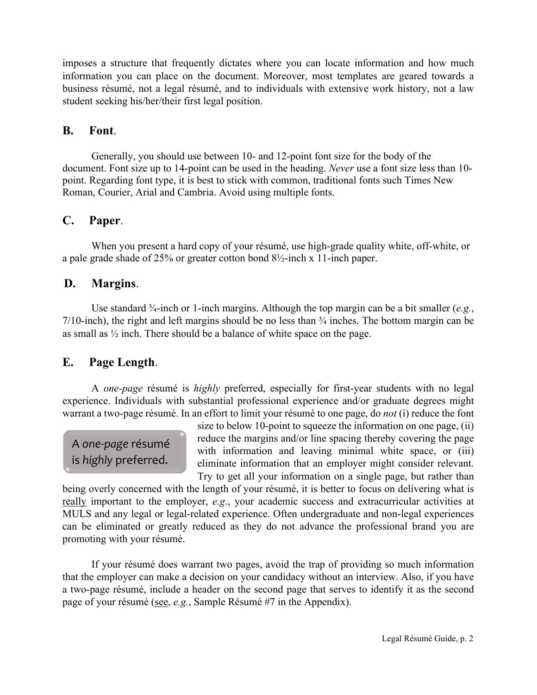imposes a structure that frequently dictates where you can locate information and how much information you can place on the document. Moreover, most templates are geared towards a business résumé, not a legal résumé, and to individuals with extensive work history, not a law student seeking his/her/their first legal position.

## **B. Font**.

Generally, you should use between 10- and 12-point font size for the body of the document. Font size up to 14-point can be used in the heading. *Never* use a font size less than 10 point. Regarding font type, it is best to stick with common, traditional fonts such Times New Roman, Courier, Arial and Cambria. Avoid using multiple fonts.

## **C. Paper**.

When you present a hard copy of your résumé, use high-grade quality white, off-white, or a pale grade shade of 25% or greater cotton bond 8½-inch x 11-inch paper.

## **D. Margins**.

Use standard ¾-inch or 1-inch margins. Although the top margin can be a bit smaller (*e.g.*,  $7/10$ -inch), the right and left margins should be no less than  $\frac{3}{4}$  inches. The bottom margin can be as small as ½ inch. There should be a balance of white space on the page.

## **E. Page Length**.

A *one-page* résumé is *highly* preferred, especially for first-year students with no legal experience. Individuals with substantial professional experience and/or graduate degrees might warrant a two-page résumé. In an effort to limit your résumé to one page, do *not* (i) reduce the font

A *one-page* résumé is *highly* preferred.

size to below 10-point to squeeze the information on one page, (ii) reduce the margins and/or line spacing thereby covering the page with information and leaving minimal white space, or (iii) eliminate information that an employer might consider relevant. Try to get all your information on a single page, but rather than

being overly concerned with the length of your résumé, it is better to focus on delivering what is really important to the employer, *e.g*., your academic success and extracurricular activities at MULS and any legal or legal-related experience. Often undergraduate and non-legal experiences can be eliminated or greatly reduced as they do not advance the professional brand you are promoting with your résumé.

If your résumé does warrant two pages, avoid the trap of providing so much information that the employer can make a decision on your candidacy without an interview. Also, if you have a two-page résumé, include a header on the second page that serves to identify it as the second page of your résumé (see, *e.g.*, Sample Résumé #7 in the Appendix).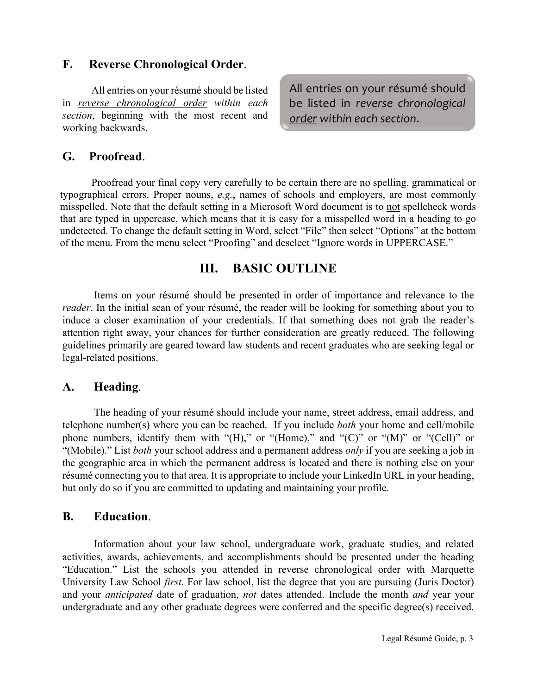## **F. Reverse Chronological Order**.

All entries on your résumé should be listed in *reverse chronological order within each section*, beginning with the most recent and working backwards.

All entries on your résumé should be listed in *reverse chronological order within each section*.

## **G. Proofread**.

Proofread your final copy very carefully to be certain there are no spelling, grammatical or typographical errors. Proper nouns, *e.g.*, names of schools and employers, are most commonly misspelled. Note that the default setting in a Microsoft Word document is to not spellcheck words that are typed in uppercase, which means that it is easy for a misspelled word in a heading to go undetected. To change the default setting in Word, select "File" then select "Options" at the bottom of the menu. From the menu select "Proofing" and deselect "Ignore words in UPPERCASE."

## **III. BASIC OUTLINE**

Items on your résumé should be presented in order of importance and relevance to the *reader*. In the initial scan of your résumé, the reader will be looking for something about you to induce a closer examination of your credentials. If that something does not grab the reader's attention right away, your chances for further consideration are greatly reduced. The following guidelines primarily are geared toward law students and recent graduates who are seeking legal or legal-related positions.

## **A. Heading**.

The heading of your résumé should include your name, street address, email address, and telephone number(s) where you can be reached. If you include *both* your home and cell/mobile phone numbers, identify them with "(H)," or "(Home)," and "(C)" or "(M)" or "(Cell)" or "(Mobile)." List *both* your school address and a permanent address *only* if you are seeking a job in the geographic area in which the permanent address is located and there is nothing else on your résumé connecting you to that area. It is appropriate to include your LinkedIn URL in your heading, but only do so if you are committed to updating and maintaining your profile.

## **B. Education**.

Information about your law school, undergraduate work, graduate studies, and related activities, awards, achievements, and accomplishments should be presented under the heading "Education." List the schools you attended in reverse chronological order with Marquette University Law School *first*. For law school, list the degree that you are pursuing (Juris Doctor) and your *anticipated* date of graduation, *not* dates attended. Include the month *and* year your undergraduate and any other graduate degrees were conferred and the specific degree(s) received.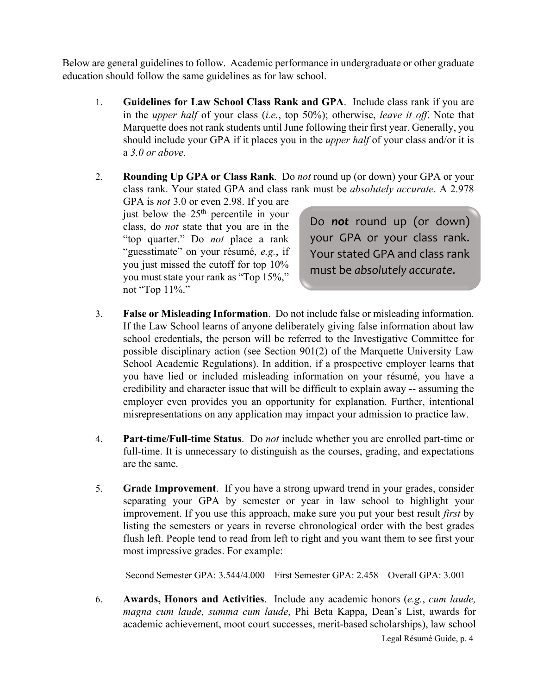Below are general guidelines to follow. Academic performance in undergraduate or other graduate education should follow the same guidelines as for law school.

- 1. **Guidelines for Law School Class Rank and GPA**. Include class rank if you are in the *upper half* of your class (*i.e.*, top 50%); otherwise, *leave it off*. Note that Marquette does not rank students until June following their first year. Generally, you should include your GPA if it places you in the *upper half* of your class and/or it is a *3.0 or above*.
- 2. **Rounding Up GPA or Class Rank**. Do *not* round up (or down) your GPA or your class rank. Your stated GPA and class rank must be *absolutely accurate*. A 2.978

GPA is *not* 3.0 or even 2.98. If you are just below the  $25<sup>th</sup>$  percentile in your class, do *not* state that you are in the "top quarter." Do *not* place a rank "guesstimate" on your résumé, *e.g.*, if you just missed the cutoff for top 10% you must state your rank as "Top 15%," not "Top 11%."

Do *not* round up (or down) your GPA or your class rank. Your stated GPA and class rank must be *absolutely accurate*.

- 3. **False or Misleading Information**. Do not include false or misleading information. If the Law School learns of anyone deliberately giving false information about law school credentials, the person will be referred to the Investigative Committee for possible disciplinary action (see Section  $901(2)$  of the Marquette University Law School Academic Regulations). In addition, if a prospective employer learns that you have lied or included misleading information on your résumé, you have a credibility and character issue that will be difficult to explain away -- assuming the employer even provides you an opportunity for explanation. Further, intentional misrepresentations on any application may impact your admission to practice law.
- 4. **Part-time/Full-time Status**. Do *not* include whether you are enrolled part-time or full-time. It is unnecessary to distinguish as the courses, grading, and expectations are the same.
- 5. **Grade Improvement**. If you have a strong upward trend in your grades, consider separating your GPA by semester or year in law school to highlight your improvement. If you use this approach, make sure you put your best result *first* by listing the semesters or years in reverse chronological order with the best grades flush left. People tend to read from left to right and you want them to see first your most impressive grades. For example:

Second Semester GPA: 3.544/4.000 First Semester GPA: 2.458 Overall GPA: 3.001

Legal Résumé Guide, p. 4 6. **Awards, Honors and Activities**. Include any academic honors (*e.g.*, *cum laude, magna cum laude, summa cum laude*, Phi Beta Kappa, Dean's List, awards for academic achievement, moot court successes, merit-based scholarships), law school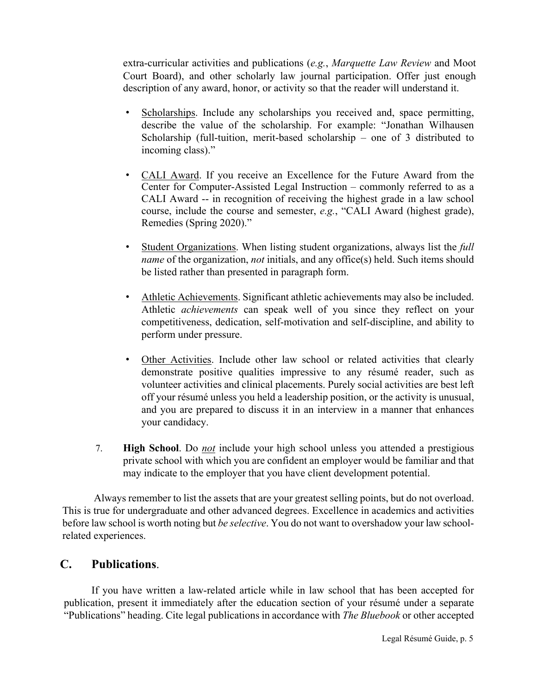extra-curricular activities and publications (*e.g.*, *Marquette Law Review* and Moot Court Board), and other scholarly law journal participation. Offer just enough description of any award, honor, or activity so that the reader will understand it.

- Scholarships. Include any scholarships you received and, space permitting, describe the value of the scholarship. For example: "Jonathan Wilhausen Scholarship (full-tuition, merit-based scholarship – one of 3 distributed to incoming class)."
- CALI Award. If you receive an Excellence for the Future Award from the Center for Computer-Assisted Legal Instruction – commonly referred to as a CALI Award -- in recognition of receiving the highest grade in a law school course, include the course and semester, *e.g.*, "CALI Award (highest grade), Remedies (Spring 2020)."
- Student Organizations. When listing student organizations, always list the *full name* of the organization, *not* initials, and any office(s) held. Such items should be listed rather than presented in paragraph form.
- Athletic Achievements. Significant athletic achievements may also be included. Athletic *achievements* can speak well of you since they reflect on your competitiveness, dedication, self-motivation and self-discipline, and ability to perform under pressure.
- Other Activities. Include other law school or related activities that clearly demonstrate positive qualities impressive to any résumé reader, such as volunteer activities and clinical placements. Purely social activities are best left off your résumé unless you held a leadership position, or the activity is unusual, and you are prepared to discuss it in an interview in a manner that enhances your candidacy.
- 7. **High School**. Do *not* include your high school unless you attended a prestigious private school with which you are confident an employer would be familiar and that may indicate to the employer that you have client development potential.

Always remember to list the assets that are your greatest selling points, but do not overload. This is true for undergraduate and other advanced degrees. Excellence in academics and activities before law school is worth noting but *be selective*. You do not want to overshadow your law schoolrelated experiences.

## **C. Publications**.

If you have written a law-related article while in law school that has been accepted for publication, present it immediately after the education section of your résumé under a separate "Publications" heading. Cite legal publications in accordance with *The Bluebook* or other accepted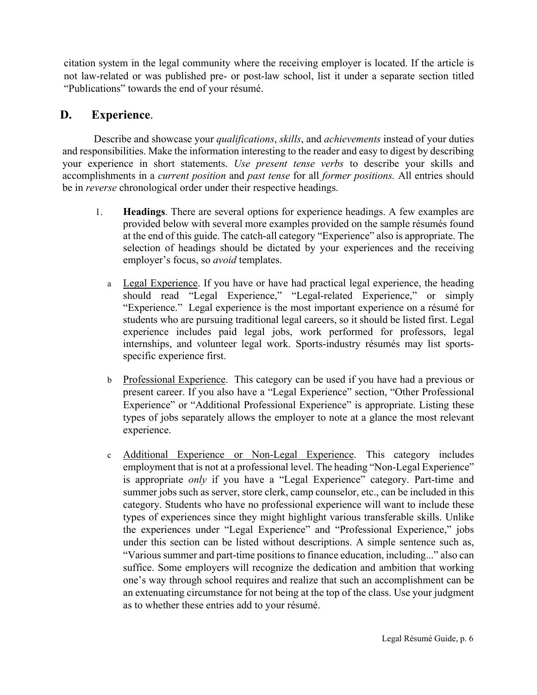citation system in the legal community where the receiving employer is located. If the article is not law-related or was published pre- or post-law school, list it under a separate section titled "Publications" towards the end of your résumé.

## **D. Experience**.

Describe and showcase your *qualifications*, *skills*, and *achievements* instead of your duties and responsibilities. Make the information interesting to the reader and easy to digest by describing your experience in short statements. *Use present tense verbs* to describe your skills and accomplishments in a *current position* and *past tense* for all *former positions.* All entries should be in *reverse* chronological order under their respective headings.

- 1. **Headings**. There are several options for experience headings. A few examples are provided below with several more examples provided on the sample résumés found at the end of this guide. The catch-all category "Experience" also is appropriate. The selection of headings should be dictated by your experiences and the receiving employer's focus, so *avoid* templates.
	- a Legal Experience. If you have or have had practical legal experience, the heading should read "Legal Experience," "Legal-related Experience," or simply "Experience." Legal experience is the most important experience on a résumé for students who are pursuing traditional legal careers, so it should be listed first. Legal experience includes paid legal jobs, work performed for professors, legal internships, and volunteer legal work. Sports-industry résumés may list sportsspecific experience first.
	- b Professional Experience. This category can be used if you have had a previous or present career. If you also have a "Legal Experience" section, "Other Professional Experience" or "Additional Professional Experience" is appropriate. Listing these types of jobs separately allows the employer to note at a glance the most relevant experience.
	- c Additional Experience or Non-Legal Experience. This category includes employment that is not at a professional level. The heading "Non-Legal Experience" is appropriate *only* if you have a "Legal Experience" category. Part-time and summer jobs such as server, store clerk, camp counselor, etc., can be included in this category. Students who have no professional experience will want to include these types of experiences since they might highlight various transferable skills. Unlike the experiences under "Legal Experience" and "Professional Experience," jobs under this section can be listed without descriptions. A simple sentence such as, "Various summer and part-time positions to finance education, including..." also can suffice. Some employers will recognize the dedication and ambition that working one's way through school requires and realize that such an accomplishment can be an extenuating circumstance for not being at the top of the class. Use your judgment as to whether these entries add to your résumé.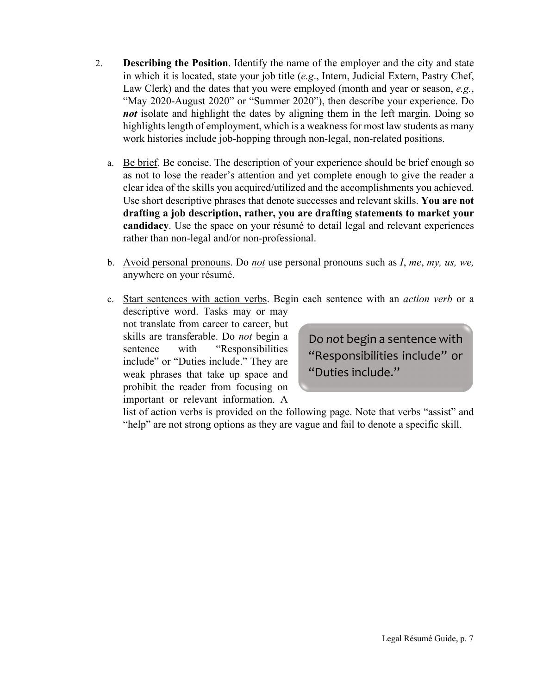- 2. **Describing the Position**. Identify the name of the employer and the city and state in which it is located, state your job title (*e.g*., Intern, Judicial Extern, Pastry Chef, Law Clerk) and the dates that you were employed (month and year or season, *e.g.*, "May 2020-August 2020" or "Summer 2020"), then describe your experience. Do *not* isolate and highlight the dates by aligning them in the left margin. Doing so highlights length of employment, which is a weakness for most law students as many work histories include job-hopping through non-legal, non-related positions.
	- a. Be brief. Be concise. The description of your experience should be brief enough so as not to lose the reader's attention and yet complete enough to give the reader a clear idea of the skills you acquired/utilized and the accomplishments you achieved. Use short descriptive phrases that denote successes and relevant skills. **You are not drafting a job description, rather, you are drafting statements to market your candidacy**. Use the space on your résumé to detail legal and relevant experiences rather than non-legal and/or non-professional.
	- b. Avoid personal pronouns. Do *not* use personal pronouns such as *I*, *me*, *my, us, we,* anywhere on your résumé.
	- c. Start sentences with action verbs. Begin each sentence with an *action verb* or a

descriptive word. Tasks may or may not translate from career to career, but skills are transferable. Do *not* begin a sentence with "Responsibilities include" or "Duties include." They are weak phrases that take up space and prohibit the reader from focusing on important or relevant information. A

Do *not* begin a sentence with "Responsibilities include" or "Duties include."

list of action verbs is provided on the following page. Note that verbs "assist" and "help" are not strong options as they are vague and fail to denote a specific skill.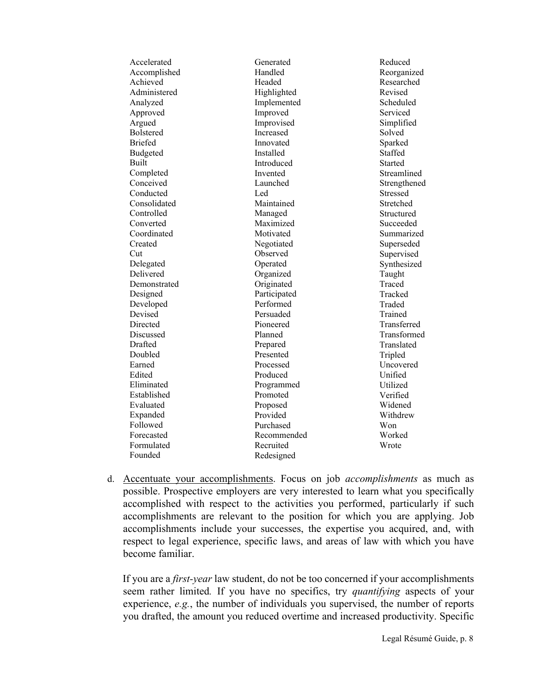| Accelerated  | Generated    | Reduced      |
|--------------|--------------|--------------|
| Accomplished | Handled      | Reorganized  |
| Achieved     | Headed       | Researched   |
| Administered | Highlighted  | Revised      |
| Analyzed     | Implemented  | Scheduled    |
| Approved     | Improved     | Serviced     |
| Argued       | Improvised   | Simplified   |
| Bolstered    | Increased    | Solved       |
| Briefed      | Innovated    | Sparked      |
| Budgeted     | Installed    | Staffed      |
| Built        | Introduced   | Started      |
| Completed    | Invented     | Streamlined  |
| Conceived    | Launched     | Strengthened |
| Conducted    | Led          | Stressed     |
| Consolidated | Maintained   | Stretched    |
| Controlled   | Managed      | Structured   |
| Converted    | Maximized    | Succeeded    |
| Coordinated  | Motivated    | Summarized   |
| Created      | Negotiated   | Superseded   |
| Cut          | Observed     | Supervised   |
| Delegated    | Operated     | Synthesized  |
| Delivered    | Organized    | Taught       |
| Demonstrated | Originated   | Traced       |
| Designed     | Participated | Tracked      |
| Developed    | Performed    | Traded       |
| Devised      | Persuaded    | Trained      |
| Directed     | Pioneered    | Transferred  |
| Discussed    | Planned      | Transformed  |
| Drafted      | Prepared     | Translated   |
| Doubled      | Presented    | Tripled      |
| Earned       | Processed    | Uncovered    |
| Edited       | Produced     | Unified      |
| Eliminated   | Programmed   | Utilized     |
| Established  | Promoted     | Verified     |
| Evaluated    | Proposed     | Widened      |
| Expanded     | Provided     | Withdrew     |
| Followed     | Purchased    | Won          |
| Forecasted   | Recommended  | Worked       |
| Formulated   | Recruited    | Wrote        |
| Founded      | Redesigned   |              |
|              |              |              |

d. Accentuate your accomplishments. Focus on job *accomplishments* as much as possible. Prospective employers are very interested to learn what you specifically accomplished with respect to the activities you performed, particularly if such accomplishments are relevant to the position for which you are applying. Job accomplishments include your successes, the expertise you acquired, and, with respect to legal experience, specific laws, and areas of law with which you have become familiar.

If you are a *first-year* law student, do not be too concerned if your accomplishments seem rather limited*.* If you have no specifics, try *quantifying* aspects of your experience, *e.g.*, the number of individuals you supervised, the number of reports you drafted, the amount you reduced overtime and increased productivity. Specific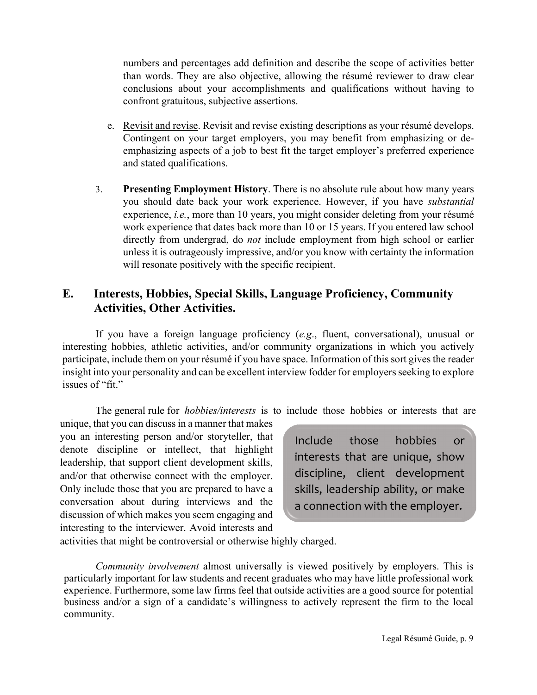numbers and percentages add definition and describe the scope of activities better than words. They are also objective, allowing the résumé reviewer to draw clear conclusions about your accomplishments and qualifications without having to confront gratuitous, subjective assertions.

- e. Revisit and revise. Revisit and revise existing descriptions as your résumé develops. Contingent on your target employers, you may benefit from emphasizing or deemphasizing aspects of a job to best fit the target employer's preferred experience and stated qualifications.
- 3. **Presenting Employment History**. There is no absolute rule about how many years you should date back your work experience. However, if you have *substantial* experience, *i.e.*, more than 10 years, you might consider deleting from your résumé work experience that dates back more than 10 or 15 years. If you entered law school directly from undergrad, do *not* include employment from high school or earlier unless it is outrageously impressive, and/or you know with certainty the information will resonate positively with the specific recipient.

## **E. Interests, Hobbies, Special Skills, Language Proficiency, Community Activities, Other Activities.**

If you have a foreign language proficiency (*e.g*., fluent, conversational), unusual or interesting hobbies, athletic activities, and/or community organizations in which you actively participate, include them on your résumé if you have space. Information of this sort gives the reader insight into your personality and can be excellent interview fodder for employers seeking to explore issues of "fit."

The general rule for *hobbies/interests* is to include those hobbies or interests that are

unique, that you can discuss in a manner that makes you an interesting person and/or storyteller, that denote discipline or intellect, that highlight leadership, that support client development skills, and/or that otherwise connect with the employer. Only include those that you are prepared to have a conversation about during interviews and the discussion of which makes you seem engaging and interesting to the interviewer. Avoid interests and

Include those hobbies or interests that are unique, show discipline, client development skills, leadership ability, or make a connection with the employer.

activities that might be controversial or otherwise highly charged.

*Community involvement* almost universally is viewed positively by employers. This is particularly important for law students and recent graduates who may have little professional work experience. Furthermore, some law firms feel that outside activities are a good source for potential business and/or a sign of a candidate's willingness to actively represent the firm to the local community.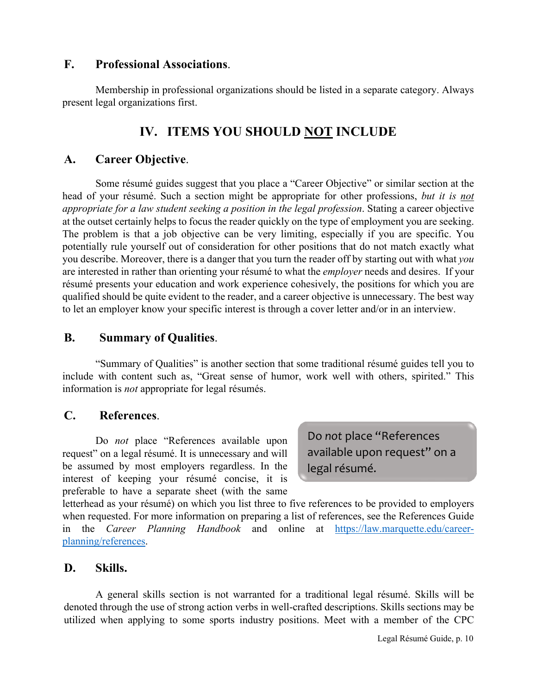## **F. Professional Associations**.

Membership in professional organizations should be listed in a separate category. Always present legal organizations first.

# **IV. ITEMS YOU SHOULD NOT INCLUDE**

## **A. Career Objective**.

Some résumé guides suggest that you place a "Career Objective" or similar section at the head of your résumé. Such a section might be appropriate for other professions, *but it is not appropriate for a law student seeking a position in the legal profession*. Stating a career objective at the outset certainly helps to focus the reader quickly on the type of employment you are seeking. The problem is that a job objective can be very limiting, especially if you are specific. You potentially rule yourself out of consideration for other positions that do not match exactly what you describe. Moreover, there is a danger that you turn the reader off by starting out with what *you* are interested in rather than orienting your résumé to what the *employer* needs and desires. If your résumé presents your education and work experience cohesively, the positions for which you are qualified should be quite evident to the reader, and a career objective is unnecessary. The best way to let an employer know your specific interest is through a cover letter and/or in an interview.

## **B. Summary of Qualities**.

"Summary of Qualities" is another section that some traditional résumé guides tell you to include with content such as, "Great sense of humor, work well with others, spirited." This information is *not* appropriate for legal résumés.

## **C. References**.

Do *not* place "References available upon request" on a legal résumé. It is unnecessary and will be assumed by most employers regardless. In the interest of keeping your résumé concise, it is preferable to have a separate sheet (with the same

Do *not* place "References available upon request" on a legal résumé.

letterhead as your résumé) on which you list three to five references to be provided to employers when requested. For more information on preparing a list of references, see the References Guide in the *Career Planning Handbook* and online at [https://law.marquette.edu/career](https://law.marquette.edu/career-planning/references)[planning/references.](https://law.marquette.edu/career-planning/references)

## **D. Skills.**

A general skills section is not warranted for a traditional legal résumé. Skills will be denoted through the use of strong action verbs in well-crafted descriptions. Skills sections may be utilized when applying to some sports industry positions. Meet with a member of the CPC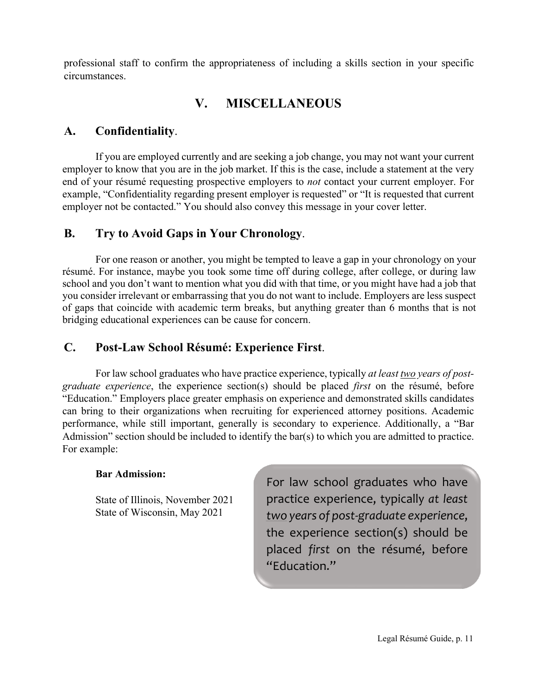professional staff to confirm the appropriateness of including a skills section in your specific circumstances.

# **V. MISCELLANEOUS**

## **A. Confidentiality**.

If you are employed currently and are seeking a job change, you may not want your current employer to know that you are in the job market. If this is the case, include a statement at the very end of your résumé requesting prospective employers to *not* contact your current employer. For example, "Confidentiality regarding present employer is requested" or "It is requested that current employer not be contacted." You should also convey this message in your cover letter.

## **B. Try to Avoid Gaps in Your Chronology**.

For one reason or another, you might be tempted to leave a gap in your chronology on your résumé. For instance, maybe you took some time off during college, after college, or during law school and you don't want to mention what you did with that time, or you might have had a job that you consider irrelevant or embarrassing that you do not want to include. Employers are less suspect of gaps that coincide with academic term breaks, but anything greater than 6 months that is not bridging educational experiences can be cause for concern.

## **C. Post-Law School Résumé: Experience First**.

For law school graduates who have practice experience, typically *at least two years of postgraduate experience*, the experience section(s) should be placed *first* on the résumé, before "Education." Employers place greater emphasis on experience and demonstrated skills candidates can bring to their organizations when recruiting for experienced attorney positions. Academic performance, while still important, generally is secondary to experience. Additionally, a "Bar Admission" section should be included to identify the bar(s) to which you are admitted to practice. For example:

## **Bar Admission:**

State of Illinois, November 2021 State of Wisconsin, May 2021

For law school graduates who have practice experience, typically *at least two years of post-graduate experience*, the experience section(s) should be placed *first* on the résumé, before "Education."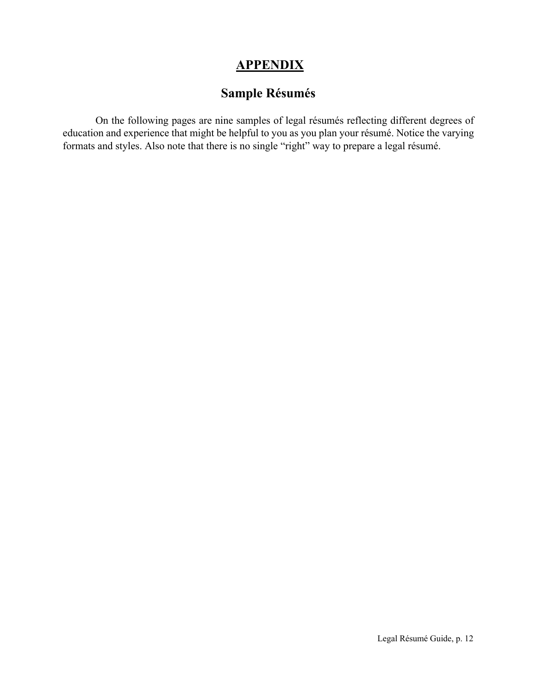# **APPENDIX**

# **Sample Résumés**

On the following pages are nine samples of legal résumés reflecting different degrees of education and experience that might be helpful to you as you plan your résumé. Notice the varying formats and styles. Also note that there is no single "right" way to prepare a legal résumé.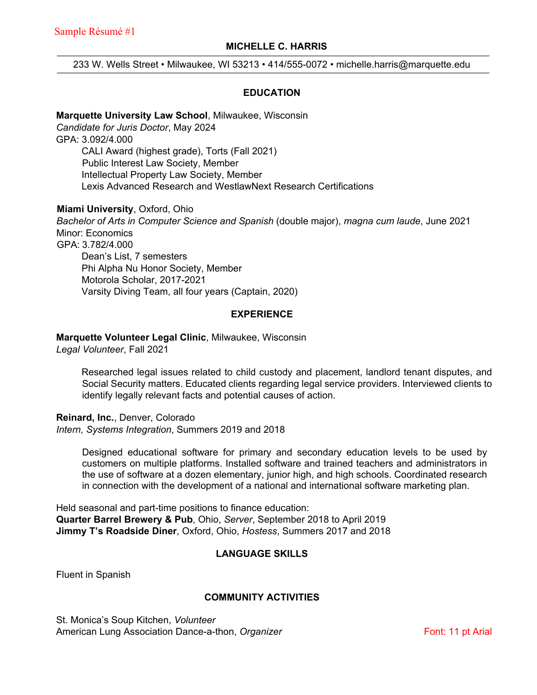#### **MICHELLE C. HARRIS**

233 W. Wells Street • Milwaukee, WI 53213 • 414/555-0072 • michelle.harris@marquette.edu

#### **EDUCATION**

#### **Marquette University Law School**, Milwaukee, Wisconsin

*Candidate for Juris Doctor*, May 2024 GPA: 3.092/4.000 CALI Award (highest grade), Torts (Fall 2021) Public Interest Law Society, Member Intellectual Property Law Society, Member Lexis Advanced Research and WestlawNext Research Certifications

**Miami University**, Oxford, Ohio *Bachelor of Arts in Computer Science and Spanish* (double major), *magna cum laude*, June 2021 Minor: Economics GPA: 3.782/4.000 Dean's List, 7 semesters Phi Alpha Nu Honor Society, Member Motorola Scholar, 2017-2021 Varsity Diving Team, all four years (Captain, 2020)

#### **EXPERIENCE**

**Marquette Volunteer Legal Clinic**, Milwaukee, Wisconsin

*Legal Volunteer*, Fall 2021

Researched legal issues related to child custody and placement, landlord tenant disputes, and Social Security matters. Educated clients regarding legal service providers. Interviewed clients to identify legally relevant facts and potential causes of action.

**Reinard, Inc.**, Denver, Colorado *Intern, Systems Integration*, Summers 2019 and 2018

> Designed educational software for primary and secondary education levels to be used by customers on multiple platforms. Installed software and trained teachers and administrators in the use of software at a dozen elementary, junior high, and high schools. Coordinated research in connection with the development of a national and international software marketing plan.

Held seasonal and part-time positions to finance education: **Quarter Barrel Brewery & Pub**, Ohio, *Server*, September 2018 to April 2019 **Jimmy T's Roadside Diner**, Oxford, Ohio, *Hostess*, Summers 2017 and 2018

#### **LANGUAGE SKILLS**

Fluent in Spanish

#### **COMMUNITY ACTIVITIES**

St. Monica's Soup Kitchen, *Volunteer* American Lung Association Dance-a-thon, *Organizer* Font: 11 pt Arial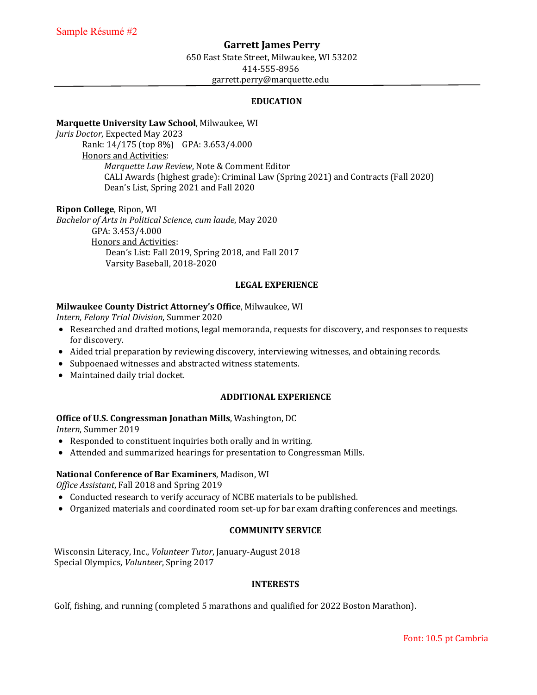#### **Garrett James Perry**

650 East State Street, Milwaukee, WI 53202 414-555-8956

garrett.perry@marquette.edu

#### **EDUCATION**

#### **Marquette University Law School**, Milwaukee, WI

*Juris Doctor*, Expected May 2023 Rank: 14/175 (top 8%) GPA: 3.653/4.000 Honors and Activities: *Marquette Law Review*, Note & Comment Editor CALI Awards (highest grade): Criminal Law (Spring 2021) and Contracts (Fall 2020) Dean's List, Spring 2021 and Fall 2020

#### **Ripon College**, Ripon, WI

*Bachelor of Arts in Political Science*, *cum laude*, May 2020 GPA: 3.453/4.000 Honors and Activities: Dean's List: Fall 2019, Spring 2018, and Fall 2017 Varsity Baseball, 2018-2020

#### **LEGAL EXPERIENCE**

#### **Milwaukee County District Attorney's Office**, Milwaukee, WI

*Intern, Felony Trial Division*, Summer 2020

- Researched and drafted motions, legal memoranda, requests for discovery, and responses to requests for discovery.
- Aided trial preparation by reviewing discovery, interviewing witnesses, and obtaining records.
- Subpoenaed witnesses and abstracted witness statements.
- Maintained daily trial docket.

#### **ADDITIONAL EXPERIENCE**

#### **Office of U.S. Congressman Jonathan Mills**, Washington, DC

*Intern*, Summer 2019

- Responded to constituent inquiries both orally and in writing.
- Attended and summarized hearings for presentation to Congressman Mills.

#### **National Conference of Bar Examiners**, Madison, WI

*Office Assistant*, Fall 2018 and Spring 2019

- Conducted research to verify accuracy of NCBE materials to be published.
- Organized materials and coordinated room set-up for bar exam drafting conferences and meetings.

#### **COMMUNITY SERVICE**

Wisconsin Literacy, Inc., *Volunteer Tutor*, January-August 2018 Special Olympics, *Volunteer*, Spring 2017

#### **INTERESTS**

Golf, fishing, and running (completed 5 marathons and qualified for 2022 Boston Marathon).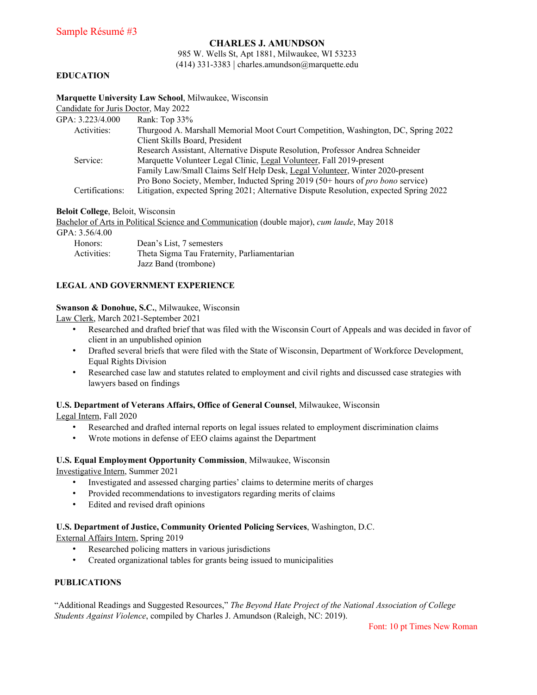#### **CHARLES J. AMUNDSON**

985 W. Wells St, Apt 1881, Milwaukee, WI 53233 (414) 331-3383 | charles.amundson@marquette.edu

#### **EDUCATION**

| Marquette University Law School, Milwaukee, Wisconsin |  |  |  |
|-------------------------------------------------------|--|--|--|
|-------------------------------------------------------|--|--|--|

Candidate for Juris Doctor, May 2022

| Rank: Top 33%                                                                          |
|----------------------------------------------------------------------------------------|
| Thurgood A. Marshall Memorial Moot Court Competition, Washington, DC, Spring 2022      |
| Client Skills Board, President                                                         |
| Research Assistant, Alternative Dispute Resolution, Professor Andrea Schneider         |
| Marquette Volunteer Legal Clinic, Legal Volunteer, Fall 2019-present                   |
| Family Law/Small Claims Self Help Desk, Legal Volunteer, Winter 2020-present           |
| Pro Bono Society, Member, Inducted Spring 2019 (50+ hours of pro bono service)         |
| Litigation, expected Spring 2021; Alternative Dispute Resolution, expected Spring 2022 |
|                                                                                        |

**Beloit College**, Beloit, Wisconsin

Bachelor of Arts in Political Science and Communication (double major), *cum laude*, May 2018

#### GPA: 3.56/4.00

| Honors:     | Dean's List, 7 semesters                    |
|-------------|---------------------------------------------|
| Activities: | Theta Sigma Tau Fraternity, Parliamentarian |
|             | Jazz Band (trombone)                        |

#### **LEGAL AND GOVERNMENT EXPERIENCE**

#### **Swanson & Donohue, S.C.**, Milwaukee, Wisconsin

Law Clerk, March 2021-September 2021

- Researched and drafted brief that was filed with the Wisconsin Court of Appeals and was decided in favor of client in an unpublished opinion
- Drafted several briefs that were filed with the State of Wisconsin, Department of Workforce Development, Equal Rights Division
- Researched case law and statutes related to employment and civil rights and discussed case strategies with lawyers based on findings

#### **U.S. Department of Veterans Affairs, Office of General Counsel**, Milwaukee, Wisconsin

Legal Intern, Fall 2020

- Researched and drafted internal reports on legal issues related to employment discrimination claims
- Wrote motions in defense of EEO claims against the Department

#### **U.S. Equal Employment Opportunity Commission**, Milwaukee, Wisconsin

Investigative Intern, Summer 2021

- Investigated and assessed charging parties' claims to determine merits of charges
- Provided recommendations to investigators regarding merits of claims
- Edited and revised draft opinions

#### **U.S. Department of Justice, Community Oriented Policing Services**, Washington, D.C.

External Affairs Intern, Spring 2019

- Researched policing matters in various jurisdictions
- Created organizational tables for grants being issued to municipalities

#### **PUBLICATIONS**

"Additional Readings and Suggested Resources," *The Beyond Hate Project of the National Association of College Students Against Violence*, compiled by Charles J. Amundson (Raleigh, NC: 2019).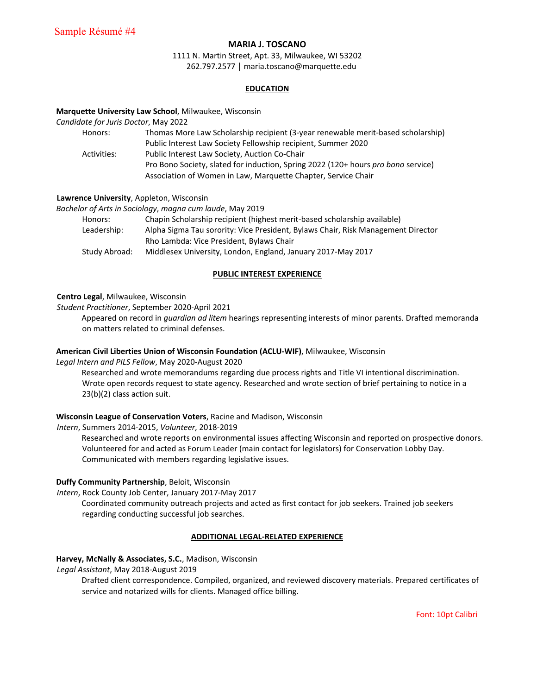#### **MARIA J. TOSCANO**

1111 N. Martin Street, Apt. 33, Milwaukee, WI 53202 262.797.2577 │ maria.toscano@marquette.edu

#### **EDUCATION**

#### **Marquette University Law School**, Milwaukee, Wisconsin

*Candidate for Juris Doctor*, May 2022

| Honors:     | Thomas More Law Scholarship recipient (3-year renewable merit-based scholarship)  |
|-------------|-----------------------------------------------------------------------------------|
|             | Public Interest Law Society Fellowship recipient, Summer 2020                     |
| Activities: | Public Interest Law Society, Auction Co-Chair                                     |
|             | Pro Bono Society, slated for induction, Spring 2022 (120+ hours pro bono service) |
|             | Association of Women in Law, Marquette Chapter, Service Chair                     |

#### **Lawrence University**, Appleton, Wisconsin

*Bachelor of Arts in Sociology*, *magna cum laude*, May 2019

| Honors:     | Chapin Scholarship recipient (highest merit-based scholarship available)         |
|-------------|----------------------------------------------------------------------------------|
| Leadership: | Alpha Sigma Tau sorority: Vice President, Bylaws Chair, Risk Management Director |
|             | Rho Lambda: Vice President, Bylaws Chair                                         |
|             |                                                                                  |

Study Abroad: Middlesex University, London, England, January 2017-May 2017

#### **PUBLIC INTEREST EXPERIENCE**

#### **Centro Legal**, Milwaukee, Wisconsin

*Student Practitioner*, September 2020-April 2021

Appeared on record in *guardian ad litem* hearings representing interests of minor parents. Drafted memoranda on matters related to criminal defenses.

#### **American Civil Liberties Union of Wisconsin Foundation (ACLU‐WIF)**, Milwaukee, Wisconsin

*Legal Intern and PILS Fellow*, May 2020-August 2020

Researched and wrote memorandums regarding due process rights and Title VI intentional discrimination. Wrote open records request to state agency. Researched and wrote section of brief pertaining to notice in a 23(b)(2) class action suit.

#### **Wisconsin League of Conservation Voters**, Racine and Madison, Wisconsin

*Intern*, Summers 2014-2015, *Volunteer*, 2018-2019

Researched and wrote reports on environmental issues affecting Wisconsin and reported on prospective donors. Volunteered for and acted as Forum Leader (main contact for legislators) for Conservation Lobby Day. Communicated with members regarding legislative issues.

#### **Duffy Community Partnership**, Beloit, Wisconsin

*Intern*, Rock County Job Center, January 2017-May 2017

Coordinated community outreach projects and acted as first contact for job seekers. Trained job seekers regarding conducting successful job searches.

#### **ADDITIONAL LEGAL-RELATED EXPERIENCE**

#### **Harvey, McNally & Associates, S.C.**, Madison, Wisconsin

*Legal Assistant*, May 2018-August 2019

Drafted client correspondence. Compiled, organized, and reviewed discovery materials. Prepared certificates of service and notarized wills for clients. Managed office billing.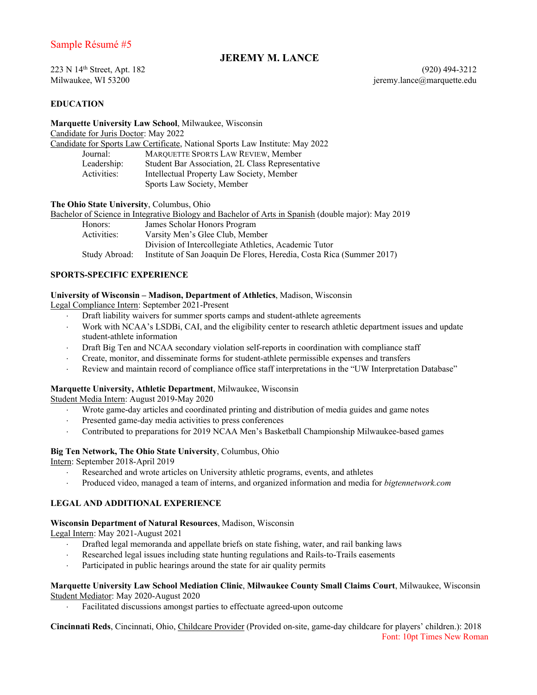#### Sample Résumé #5

#### **JEREMY M. LANCE**

## **EDUCATION**

**Marquette University Law School**, Milwaukee, Wisconsin Candidate for Juris Doctor: May 2022 Candidate for Sports Law Certificate, National Sports Law Institute: May 2022 Journal: MARQUETTE SPORTS LAW REVIEW, Member<br>Leadership: Student Bar Association, 2L Class Represent Student Bar Association, 2L Class Representative Activities: Intellectual Property Law Society, Member Sports Law Society, Member

**The Ohio State University**, Columbus, Ohio

|               | Bachelor of Science in Integrative Biology and Bachelor of Arts in Spanish (double major): May 2019 |
|---------------|-----------------------------------------------------------------------------------------------------|
| Honors:       | James Scholar Honors Program                                                                        |
| Activities:   | Varsity Men's Glee Club, Member                                                                     |
|               | Division of Intercollegiate Athletics, Academic Tutor                                               |
| Study Abroad: | Institute of San Joaquin De Flores, Heredia, Costa Rica (Summer 2017)                               |

#### **SPORTS-SPECIFIC EXPERIENCE**

#### **University of Wisconsin – Madison, Department of Athletics**, Madison, Wisconsin

Legal Compliance Intern: September 2021-Present

- Draft liability waivers for summer sports camps and student-athlete agreements
- ⋅ Work with NCAA's LSDBi, CAI, and the eligibility center to research athletic department issues and update student-athlete information
- Draft Big Ten and NCAA secondary violation self-reports in coordination with compliance staff
- ⋅ Create, monitor, and disseminate forms for student-athlete permissible expenses and transfers
- Review and maintain record of compliance office staff interpretations in the "UW Interpretation Database"

#### **Marquette University, Athletic Department**, Milwaukee, Wisconsin

Student Media Intern: August 2019-May 2020

- ⋅ Wrote game-day articles and coordinated printing and distribution of media guides and game notes
- Presented game-day media activities to press conferences
- ⋅ Contributed to preparations for 2019 NCAA Men's Basketball Championship Milwaukee-based games

#### **Big Ten Network, The Ohio State University**, Columbus, Ohio

Intern: September 2018-April 2019

- Researched and wrote articles on University athletic programs, events, and athletes
- ⋅ Produced video, managed a team of interns, and organized information and media for *bigtennetwork.com*

#### **LEGAL AND ADDITIONAL EXPERIENCE**

#### **Wisconsin Department of Natural Resources**, Madison, Wisconsin

Legal Intern: May 2021-August 2021

- ⋅ Drafted legal memoranda and appellate briefs on state fishing, water, and rail banking laws
- Researched legal issues including state hunting regulations and Rails-to-Trails easements
- Participated in public hearings around the state for air quality permits

#### **Marquette University Law School Mediation Clinic**, **Milwaukee County Small Claims Court**, Milwaukee, Wisconsin Student Mediator: May 2020-August 2020

Facilitated discussions amongst parties to effectuate agreed-upon outcome

**Cincinnati Reds**, Cincinnati, Ohio, Childcare Provider (Provided on-site, game-day childcare for players' children.): 2018 Font: 10pt Times New Roman

223 N 14th Street, Apt. 182 (920) 494-3212 Milwaukee, WI 53200 **jeremy.lance@marquette.edu**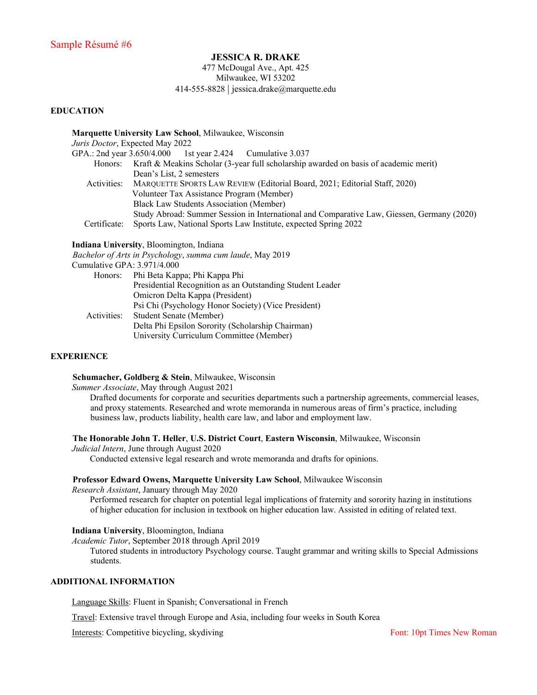#### **JESSICA R. DRAKE**

477 McDougal Ave., Apt. 425 Milwaukee, WI 53202 414-555-8828 | jessica.drake@marquette.edu

#### **EDUCATION**

#### **Marquette University Law School**, Milwaukee, Wisconsin

*Juris Doctor*, Expected May 2022

GPA.: 2nd year 3.650/4.000 1st year 2.424 Cumulative 3.037 Honors: Kraft & Meakins Scholar (3-year full scholarship awarded on basis of academic merit) Dean's List, 2 semesters Activities: MARQUETTE SPORTS LAW REVIEW (Editorial Board, 2021; Editorial Staff, 2020) Volunteer Tax Assistance Program (Member) Black Law Students Association (Member) Study Abroad: Summer Session in International and Comparative Law, Giessen, Germany (2020) Certificate: Sports Law, National Sports Law Institute, expected Spring 2022

#### **Indiana University**, Bloomington, Indiana

*Bachelor of Arts in Psychology*, *summa cum laude*, May 2019 Cumulative GPA: 3.971/4.000 Honors: Phi Beta Kappa; Phi Kappa Phi

|             | Presidential Recognition as an Outstanding Student Leader |
|-------------|-----------------------------------------------------------|
|             | Omicron Delta Kappa (President)                           |
|             |                                                           |
|             | Psi Chi (Psychology Honor Society) (Vice President)       |
| Activities: | <b>Student Senate (Member)</b>                            |
|             | Delta Phi Epsilon Sorority (Scholarship Chairman)         |
|             | University Curriculum Committee (Member)                  |

#### **EXPERIENCE**

**Schumacher, Goldberg & Stein**, Milwaukee, Wisconsin

*Summer Associate*, May through August 2021

Drafted documents for corporate and securities departments such a partnership agreements, commercial leases, and proxy statements. Researched and wrote memoranda in numerous areas of firm's practice, including business law, products liability, health care law, and labor and employment law.

**The Honorable John T. Heller**, **U.S. District Court**, **Eastern Wisconsin**, Milwaukee, Wisconsin

*Judicial Intern*, June through August 2020

Conducted extensive legal research and wrote memoranda and drafts for opinions.

#### **Professor Edward Owens, Marquette University Law School**, Milwaukee Wisconsin

*Research Assistant*, January through May 2020

Performed research for chapter on potential legal implications of fraternity and sorority hazing in institutions of higher education for inclusion in textbook on higher education law. Assisted in editing of related text.

**Indiana University**, Bloomington, Indiana

*Academic Tutor*, September 2018 through April 2019

Tutored students in introductory Psychology course. Taught grammar and writing skills to Special Admissions students.

#### **ADDITIONAL INFORMATION**

Language Skills: Fluent in Spanish; Conversational in French

Travel: Extensive travel through Europe and Asia, including four weeks in South Korea

Interests: Competitive bicycling, skydiving Font: 10pt Times New Roman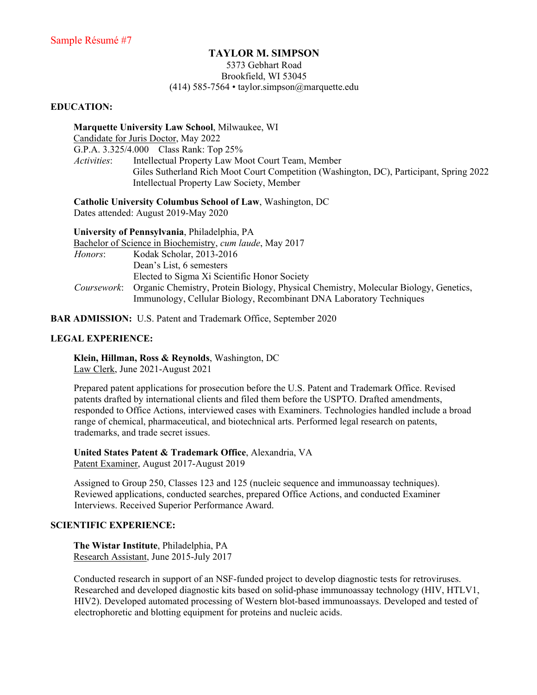#### **TAYLOR M. SIMPSON**

#### 5373 Gebhart Road Brookfield, WI 53045 (414) 585-7564 • taylor.simpson@marquette.edu

#### **EDUCATION:**

**Marquette University Law School**, Milwaukee, WI Candidate for Juris Doctor, May 2022 G.P.A. 3.325/4.000 Class Rank: Top 25% *Activities*: Intellectual Property Law Moot Court Team, Member Giles Sutherland Rich Moot Court Competition (Washington, DC), Participant, Spring 2022 Intellectual Property Law Society, Member

**Catholic University Columbus School of Law**, Washington, DC

Dates attended: August 2019-May 2020

|             | University of Pennsylvania, Philadelphia, PA                                                                                                                |
|-------------|-------------------------------------------------------------------------------------------------------------------------------------------------------------|
|             | Bachelor of Science in Biochemistry, cum laude, May 2017                                                                                                    |
| Honors:     | Kodak Scholar, 2013-2016                                                                                                                                    |
|             | Dean's List, 6 semesters                                                                                                                                    |
|             | Elected to Sigma Xi Scientific Honor Society                                                                                                                |
| Coursework: | Organic Chemistry, Protein Biology, Physical Chemistry, Molecular Biology, Genetics,<br>Immunology, Cellular Biology, Recombinant DNA Laboratory Techniques |

**BAR ADMISSION:** U.S. Patent and Trademark Office, September 2020

#### **LEGAL EXPERIENCE:**

**Klein, Hillman, Ross & Reynolds**, Washington, DC Law Clerk, June 2021-August 2021

Prepared patent applications for prosecution before the U.S. Patent and Trademark Office. Revised patents drafted by international clients and filed them before the USPTO. Drafted amendments, responded to Office Actions, interviewed cases with Examiners. Technologies handled include a broad range of chemical, pharmaceutical, and biotechnical arts. Performed legal research on patents, trademarks, and trade secret issues.

**United States Patent & Trademark Office**, Alexandria, VA Patent Examiner, August 2017-August 2019

Assigned to Group 250, Classes 123 and 125 (nucleic sequence and immunoassay techniques). Reviewed applications, conducted searches, prepared Office Actions, and conducted Examiner Interviews. Received Superior Performance Award.

#### **SCIENTIFIC EXPERIENCE:**

**The Wistar Institute**, Philadelphia, PA Research Assistant, June 2015-July 2017

Conducted research in support of an NSF-funded project to develop diagnostic tests for retroviruses. Researched and developed diagnostic kits based on solid-phase immunoassay technology (HIV, HTLV1, HIV2). Developed automated processing of Western blot-based immunoassays. Developed and tested of electrophoretic and blotting equipment for proteins and nucleic acids.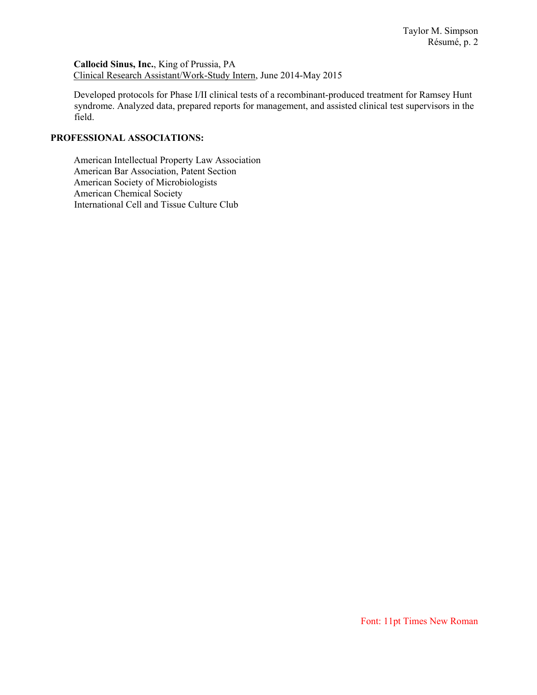**Callocid Sinus, Inc.**, King of Prussia, PA Clinical Research Assistant/Work-Study Intern, June 2014-May 2015

Developed protocols for Phase I/II clinical tests of a recombinant-produced treatment for Ramsey Hunt syndrome. Analyzed data, prepared reports for management, and assisted clinical test supervisors in the field.

#### **PROFESSIONAL ASSOCIATIONS:**

American Intellectual Property Law Association American Bar Association, Patent Section American Society of Microbiologists American Chemical Society International Cell and Tissue Culture Club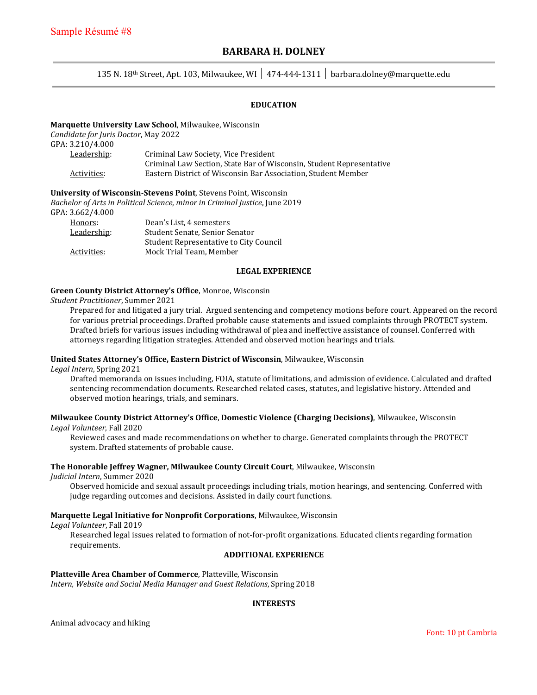#### **BARBARA H. DOLNEY**

#### 135 N. 18th Street, Apt. 103, Milwaukee, WI │ 474-444-1311 │ barbara.dolney@marquette.edu

#### **EDUCATION**

#### **Marquette University Law School**, Milwaukee, Wisconsin

*Candidate for Juris Doctor*, May 2022

GPA: 3.210/4.000

| Criminal Law Society, Vice President                                 |
|----------------------------------------------------------------------|
| Criminal Law Section, State Bar of Wisconsin, Student Representative |
| Eastern District of Wisconsin Bar Association. Student Member        |
|                                                                      |

**University of Wisconsin-Stevens Point**, Stevens Point, Wisconsin

*Bachelor of Arts in Political Science*, *minor in Criminal Justice*, June 2019

#### GPA: 3.662/4.000

| Honors:     | Dean's List. 4 semesters               |
|-------------|----------------------------------------|
| Leadership: | Student Senate, Senior Senator         |
|             | Student Representative to City Council |
| Activities: | Mock Trial Team, Member                |

#### **LEGAL EXPERIENCE**

#### **Green County District Attorney's Office**, Monroe, Wisconsin

*Student Practitioner*, Summer 2021

Prepared for and litigated a jury trial. Argued sentencing and competency motions before court. Appeared on the record for various pretrial proceedings. Drafted probable cause statements and issued complaints through PROTECT system. Drafted briefs for various issues including withdrawal of plea and ineffective assistance of counsel. Conferred with attorneys regarding litigation strategies. Attended and observed motion hearings and trials.

#### **United States Attorney's Office, Eastern District of Wisconsin**, Milwaukee, Wisconsin

*Legal Intern*, Spring 2021

Drafted memoranda on issues including, FOIA, statute of limitations, and admission of evidence. Calculated and drafted sentencing recommendation documents. Researched related cases, statutes, and legislative history. Attended and observed motion hearings, trials, and seminars.

## **Milwaukee County District Attorney's Office**, **Domestic Violence (Charging Decisions)**, Milwaukee, Wisconsin

*Legal Volunteer*, Fall 2020

Reviewed cases and made recommendations on whether to charge. Generated complaints through the PROTECT system. Drafted statements of probable cause.

#### **The Honorable Jeffrey Wagner, Milwaukee County Circuit Court**, Milwaukee, Wisconsin

*Judicial Intern*, Summer 2020

Observed homicide and sexual assault proceedings including trials, motion hearings, and sentencing. Conferred with judge regarding outcomes and decisions. Assisted in daily court functions.

#### **Marquette Legal Initiative for Nonprofit Corporations**, Milwaukee, Wisconsin

*Legal Volunteer*, Fall 2019

Researched legal issues related to formation of not-for-profit organizations. Educated clients regarding formation requirements.

#### **ADDITIONAL EXPERIENCE**

#### **Platteville Area Chamber of Commerce**, Platteville, Wisconsin

*Intern, Website and Social Media Manager and Guest Relations*, Spring 2018

#### **INTERESTS**

Animal advocacy and hiking